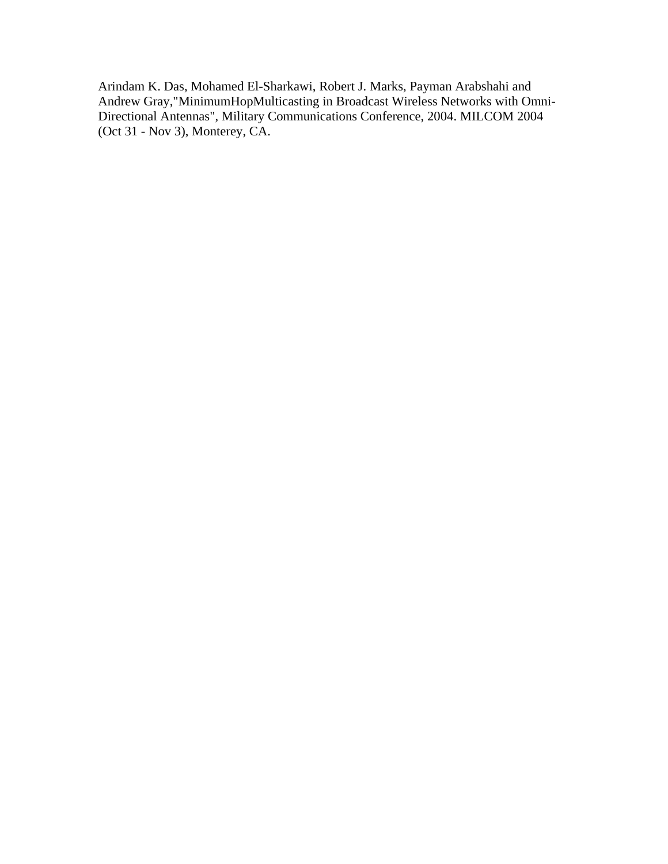Arindam K. Das, Mohamed El-Sharkawi, Robert J. Marks, Payman Arabshahi and Andrew Gray,"MinimumHopMulticasting in Broadcast Wireless Networks with Omni-Directional Antennas", Military Communications Conference, 2004. MILCOM 2004 (Oct 31 - Nov 3), Monterey, CA.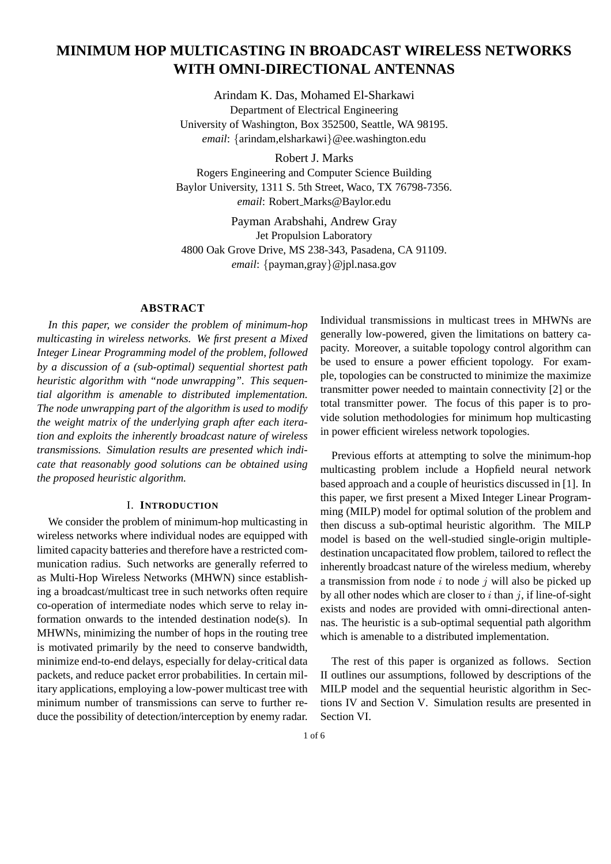# **MINIMUM HOP MULTICASTING IN BROADCAST WIRELESS NETWORKS WITH OMNI-DIRECTIONAL ANTENNAS**

Arindam K. Das, Mohamed El-Sharkawi Department of Electrical Engineering University of Washington, Box 352500, Seattle, WA 98195. *email*: {arindam,elsharkawi}@ee.washington.edu

Robert J. Marks Rogers Engineering and Computer Science Building Baylor University, 1311 S. 5th Street, Waco, TX 76798-7356. *email*: Robert Marks@Baylor.edu

Payman Arabshahi, Andrew Gray Jet Propulsion Laboratory 4800 Oak Grove Drive, MS 238-343, Pasadena, CA 91109. *email*: {payman,gray}@jpl.nasa.gov

# **ABSTRACT**

*In this paper, we consider the problem of minimum-hop multicasting in wireless networks. We first present a Mixed Integer Linear Programming model of the problem, followed by a discussion of a (sub-optimal) sequential shortest path heuristic algorithm with "node unwrapping". This sequential algorithm is amenable to distributed implementation. The node unwrapping part of the algorithm is used to modify the weight matrix of the underlying graph after each iteration and exploits the inherently broadcast nature of wireless transmissions. Simulation results are presented which indicate that reasonably good solutions can be obtained using the proposed heuristic algorithm.*

# I. **INTRODUCTION**

We consider the problem of minimum-hop multicasting in wireless networks where individual nodes are equipped with limited capacity batteries and therefore have a restricted communication radius. Such networks are generally referred to as Multi-Hop Wireless Networks (MHWN) since establishing a broadcast/multicast tree in such networks often require co-operation of intermediate nodes which serve to relay information onwards to the intended destination node(s). In MHWNs, minimizing the number of hops in the routing tree is motivated primarily by the need to conserve bandwidth, minimize end-to-end delays, especially for delay-critical data packets, and reduce packet error probabilities. In certain military applications, employing a low-power multicast tree with minimum number of transmissions can serve to further reduce the possibility of detection/interception by enemy radar.

Individual transmissions in multicast trees in MHWNs are generally low-powered, given the limitations on battery capacity. Moreover, a suitable topology control algorithm can be used to ensure a power efficient topology. For example, topologies can be constructed to minimize the maximize transmitter power needed to maintain connectivity [2] or the total transmitter power. The focus of this paper is to provide solution methodologies for minimum hop multicasting in power efficient wireless network topologies.

Previous efforts at attempting to solve the minimum-hop multicasting problem include a Hopfield neural network based approach and a couple of heuristics discussed in [1]. In this paper, we first present a Mixed Integer Linear Programming (MILP) model for optimal solution of the problem and then discuss a sub-optimal heuristic algorithm. The MILP model is based on the well-studied single-origin multipledestination uncapacitated flow problem, tailored to reflect the inherently broadcast nature of the wireless medium, whereby a transmission from node  $i$  to node  $j$  will also be picked up by all other nodes which are closer to  $i$  than  $j$ , if line-of-sight exists and nodes are provided with omni-directional antennas. The heuristic is a sub-optimal sequential path algorithm which is amenable to a distributed implementation.

The rest of this paper is organized as follows. Section II outlines our assumptions, followed by descriptions of the MILP model and the sequential heuristic algorithm in Sections IV and Section V. Simulation results are presented in Section VI.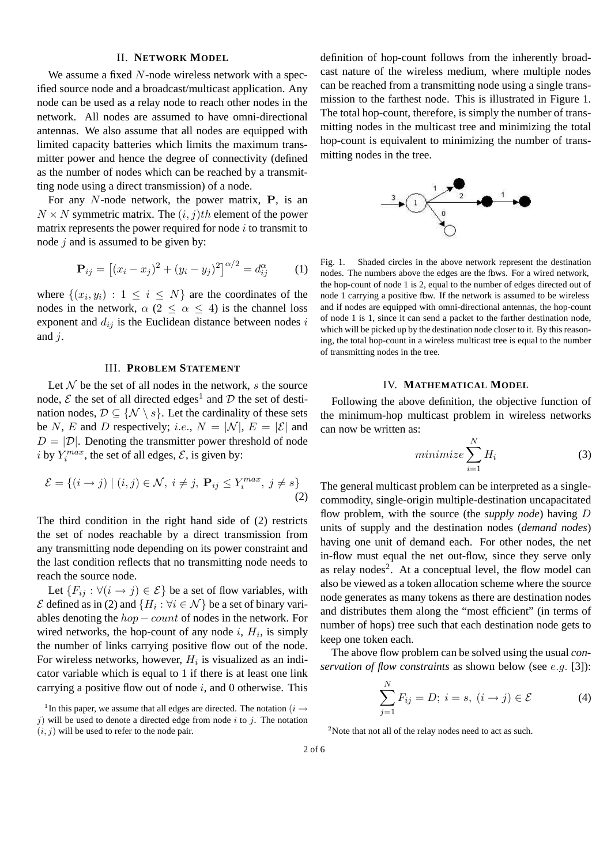## II. **NETWORK MODEL**

We assume a fixed N-node wireless network with a specified source node and a broadcast/multicast application. Any node can be used as a relay node to reach other nodes in the network. All nodes are assumed to have omni-directional antennas. We also assume that all nodes are equipped with limited capacity batteries which limits the maximum transmitter power and hence the degree of connectivity (defined as the number of nodes which can be reached by a transmitting node using a direct transmission) of a node.

For any  $N$ -node network, the power matrix,  $P$ , is an  $N \times N$  symmetric matrix. The  $(i, j)$ th element of the power matrix represents the power required for node  $i$  to transmit to node  $i$  and is assumed to be given by:

$$
\mathbf{P}_{ij} = [(x_i - x_j)^2 + (y_i - y_j)^2]^{\alpha/2} = d_{ij}^{\alpha} \tag{1}
$$

where  $\{(x_i, y_i) : 1 \le i \le N\}$  are the coordinates of the nodes in the network,  $\alpha$  (2  $\leq \alpha \leq$  4) is the channel loss exponent and  $d_{ij}$  is the Euclidean distance between nodes i and  $i$ .

## III. **PROBLEM STATEMENT**

Let  $N$  be the set of all nodes in the network,  $s$  the source node,  $\mathcal E$  the set of all directed edges<sup>1</sup> and  $\mathcal D$  the set of destination nodes,  $\mathcal{D} \subseteq \{ \mathcal{N} \setminus s \}$ . Let the cardinality of these sets be N, E and D respectively; *i.e.*,  $N = |\mathcal{N}|$ ,  $E = |\mathcal{E}|$  and  $D = |\mathcal{D}|$ . Denoting the transmitter power threshold of node i by  $Y_i^{max}$ , the set of all edges,  $\mathcal{E}$ , is given by:

$$
\mathcal{E} = \{(i \to j) \mid (i, j) \in \mathcal{N}, i \neq j, \mathbf{P}_{ij} \le Y_i^{max}, j \neq s\}
$$
\n(2)

The third condition in the right hand side of (2) restricts the set of nodes reachable by a direct transmission from any transmitting node depending on its power constraint and the last condition reflects that no transmitting node needs to reach the source node.

Let  ${F_{ij} : \forall (i \rightarrow j) \in \mathcal{E}}$  be a set of flow variables, with  $\mathcal E$  defined as in (2) and  $\{H_i : \forall i \in \mathcal N\}$  be a set of binary variables denoting the  $hop-count$  of nodes in the network. For wired networks, the hop-count of any node  $i$ ,  $H_i$ , is simply the number of links carrying positive flow out of the node. For wireless networks, however,  $H_i$  is visualized as an indicator variable which is equal to 1 if there is at least one link carrying a positive flow out of node  $i$ , and 0 otherwise. This

definition of hop-count follows from the inherently broadcast nature of the wireless medium, where multiple nodes can be reached from a transmitting node using a single transmission to the farthest node. This is illustrated in Figure 1. The total hop-count, therefore, is simply the number of transmitting nodes in the multicast tree and minimizing the total hop-count is equivalent to minimizing the number of transmitting nodes in the tree.



Fig. 1. Shaded circles in the above network represent the destination nodes. The numbers above the edges are the flows. For a wired network, the hop-count of node 1 is 2, equal to the number of edges directed out of node 1 carrying a positive fbw. If the network is assumed to be wireless and if nodes are equipped with omni-directional antennas, the hop-count of node 1 is 1, since it can send a packet to the farther destination node, which will be picked up by the destination node closer to it. By this reasoning, the total hop-count in a wireless multicast tree is equal to the number of transmitting nodes in the tree.

#### IV. **MATHEMATICAL MODEL**

Following the above definition, the objective function of the minimum-hop multicast problem in wireless networks can now be written as:

$$
minimize \sum_{i=1}^{N} H_i
$$
 (3)

The general multicast problem can be interpreted as a singlecommodity, single-origin multiple-destination uncapacitated flow problem, with the source (the *supply node*) having D units of supply and the destination nodes (*demand nodes*) having one unit of demand each. For other nodes, the net in-flow must equal the net out-flow, since they serve only as relay nodes<sup>2</sup>. At a conceptual level, the flow model can also be viewed as a token allocation scheme where the source node generates as many tokens as there are destination nodes and distributes them along the "most efficient" (in terms of number of hops) tree such that each destination node gets to keep one token each.

The above flow problem can be solved using the usual *conservation of flow constraints* as shown below (see e.g. [3]):

$$
\sum_{j=1}^{N} F_{ij} = D; i = s, (i \rightarrow j) \in \mathcal{E}
$$
 (4)

<sup>2</sup>Note that not all of the relay nodes need to act as such.

<sup>&</sup>lt;sup>1</sup>In this paper, we assume that all edges are directed. The notation ( $i \rightarrow$ j) will be used to denote a directed edge from node i to j. The notation  $(i, j)$  will be used to refer to the node pair.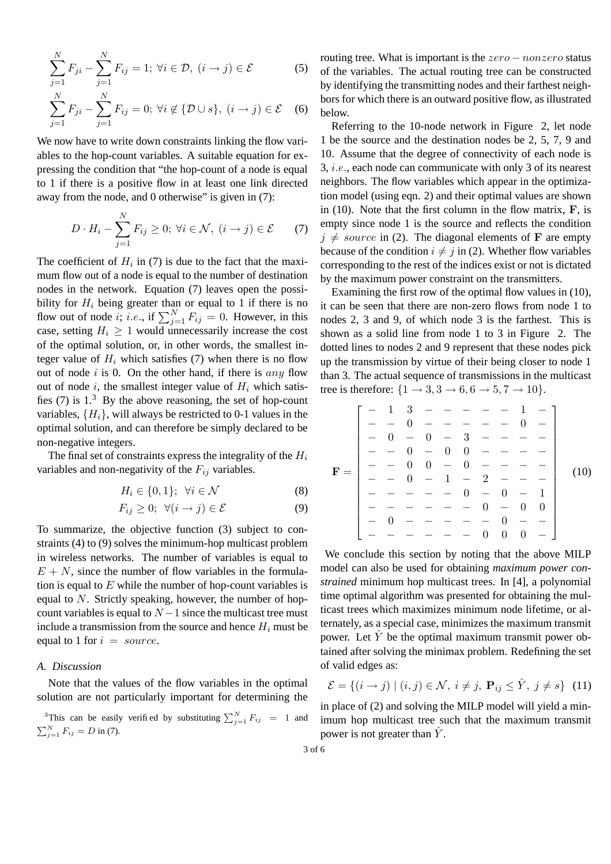$$
\sum_{j=1}^{N} F_{ji} - \sum_{j=1}^{N} F_{ij} = 1; \ \forall i \in \mathcal{D}, \ (i \to j) \in \mathcal{E}
$$
(5)  

$$
\sum_{j=1}^{N} F_{ji} - \sum_{j=1}^{N} F_{ij} = 0; \ \forall i \notin \{ \mathcal{D} \cup s \}, \ (i \to j) \in \mathcal{E}
$$
(6)

We now have to write down constraints linking the flow variables to the hop-count variables. A suitable equation for expressing the condition that "the hop-count of a node is equal to 1 if there is a positive flow in at least one link directed away from the node, and 0 otherwise" is given in (7):

$$
D \cdot H_i - \sum_{j=1}^{N} F_{ij} \ge 0; \ \forall i \in \mathcal{N}, \ (i \to j) \in \mathcal{E} \tag{7}
$$

The coefficient of  $H_i$  in (7) is due to the fact that the maximum flow out of a node is equal to the number of destination nodes in the network. Equation (7) leaves open the possibility for  $H_i$  being greater than or equal to 1 if there is no flow out of node *i*; *i.e.*, if  $\sum_{j=1}^{N} F_{ij} = 0$ . However, in this case, setting  $H_i \geq 1$  would unnecessarily increase the cost of the optimal solution, or, in other words, the smallest integer value of  $H_i$  which satisfies (7) when there is no flow out of node  $i$  is 0. On the other hand, if there is any flow out of node i, the smallest integer value of  $H_i$  which satisfies  $(7)$  is  $1<sup>3</sup>$  By the above reasoning, the set of hop-count variables,  $\{H_i\}$ , will always be restricted to 0-1 values in the optimal solution, and can therefore be simply declared to be non-negative integers.

The final set of constraints express the integrality of the  $H_i$ variables and non-negativity of the  $F_{ij}$  variables.

$$
H_i \in \{0, 1\}; \ \forall i \in \mathcal{N} \tag{8}
$$

$$
F_{ij} \geq 0; \ \forall (i \to j) \in \mathcal{E} \tag{9}
$$

To summarize, the objective function (3) subject to constraints (4) to (9) solves the minimum-hop multicast problem in wireless networks. The number of variables is equal to  $E + N$ , since the number of flow variables in the formulation is equal to  $E$  while the number of hop-count variables is equal to N. Strictly speaking, however, the number of hopcount variables is equal to  $N-1$  since the multicast tree must include a transmission from the source and hence  $H_i$  must be equal to 1 for  $i = source$ .

# *A. Discussion*

Note that the values of the flow variables in the optimal solution are not particularly important for determining the

<sup>3</sup>This can be easily verified by substituting 
$$
\sum_{j=1}^{N} F_{ij} = 1
$$
 and  $\sum_{j=1}^{N} F_{ij} = D$  in (7).

routing tree. What is important is the  $zero - nonzero$  status of the variables. The actual routing tree can be constructed by identifying the transmitting nodes and their farthest neighbors for which there is an outward positive flow, as illustrated below.

Referring to the 10-node network in Figure 2, let node 1 be the source and the destination nodes be 2, 5, 7, 9 and 10. Assume that the degree of connectivity of each node is 3, i.e., each node can communicate with only 3 of its nearest neighbors. The flow variables which appear in the optimization model (using eqn. 2) and their optimal values are shown in  $(10)$ . Note that the first column in the flow matrix,  $\bf{F}$ , is empty since node 1 is the source and reflects the condition  $j \neq source$  in (2). The diagonal elements of **F** are empty because of the condition  $i \neq j$  in (2). Whether flow variables corresponding to the rest of the indices exist or not is dictated by the maximum power constraint on the transmitters.

Examining the first row of the optimal flow values in (10), it can be seen that there are non-zero flows from node 1 to nodes 2, 3 and 9, of which node 3 is the farthest. This is shown as a solid line from node 1 to 3 in Figure 2. The dotted lines to nodes 2 and 9 represent that these nodes pick up the transmission by virtue of their being closer to node 1 than 3. The actual sequence of transmissions in the multicast tree is therefore:  $\{1 \rightarrow 3, 3 \rightarrow 6, 6 \rightarrow 5, 7 \rightarrow 10\}.$ 

− 1 3 − − − − − 1 − − − 0 − − − − − 0 − − 0 − 0 − 3 − − − − − − 0 − 0 0 − − − − − − 0 0 − 0 − − − − F = (10) − − 0 − 1 − 2 − − − − − − − − 0 − 0 − 1 − − − − − − 0 − 0 0 − 0 − − − − − 0 − − − − − − − − 0 0 0 − 

We conclude this section by noting that the above MILP model can also be used for obtaining *maximum power constrained* minimum hop multicast trees. In [4], a polynomial time optimal algorithm was presented for obtaining the multicast trees which maximizes minimum node lifetime, or alternately, as a special case, minimizes the maximum transmit power. Let  $\hat{Y}$  be the optimal maximum transmit power obtained after solving the minimax problem. Redefining the set of valid edges as:

$$
\mathcal{E} = \{(i \to j) \mid (i, j) \in \mathcal{N}, i \neq j, \mathbf{P}_{ij} \leq \hat{Y}, j \neq s\} \tag{11}
$$

in place of (2) and solving the MILP model will yield a minimum hop multicast tree such that the maximum transmit power is not greater than  $Y$ .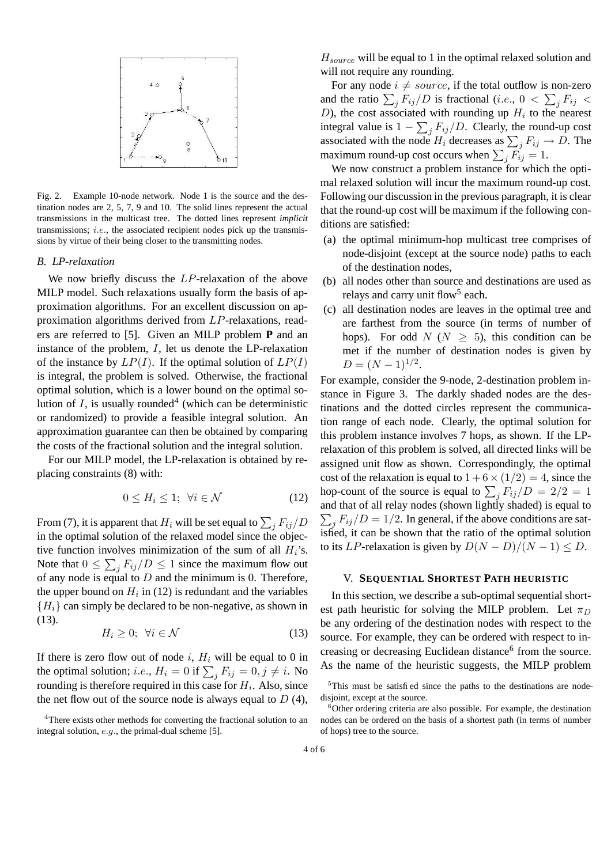

Fig. 2. Example 10-node network. Node 1 is the source and the destination nodes are 2, 5, 7, 9 and 10. The solid lines represent the actual transmissions in the multicast tree. The dotted lines represent *implicit* transmissions; *i.e.*, the associated recipient nodes pick up the transmissions by virtue of their being closer to the transmitting nodes.

#### *B. LP-relaxation*

We now briefly discuss the LP-relaxation of the above MILP model. Such relaxations usually form the basis of approximation algorithms. For an excellent discussion on approximation algorithms derived from LP-relaxations, readers are referred to [5]. Given an MILP problem **P** and an instance of the problem, I, let us denote the LP-relaxation of the instance by  $LP(I)$ . If the optimal solution of  $LP(I)$ is integral, the problem is solved. Otherwise, the fractional optimal solution, which is a lower bound on the optimal solution of  $I$ , is usually rounded<sup>4</sup> (which can be deterministic or randomized) to provide a feasible integral solution. An approximation guarantee can then be obtained by comparing the costs of the fractional solution and the integral solution.

For our MILP model, the LP-relaxation is obtained by replacing constraints (8) with:

$$
0 \le H_i \le 1; \ \forall i \in \mathcal{N} \tag{12}
$$

From (7), it is apparent that  $H_i$  will be set equal to  $\sum_j F_{ij}/D$ in the optimal solution of the relaxed model since the objective function involves minimization of the sum of all  $H_i$ 's. Note that  $0 \le \sum_j F_{ij}/D \le 1$  since the maximum flow out of any node is equal to  $D$  and the minimum is 0. Therefore, the upper bound on  $H_i$  in (12) is redundant and the variables  ${H_i}$  can simply be declared to be non-negative, as shown in (13).

$$
H_i \geq 0; \ \forall i \in \mathcal{N} \tag{13}
$$

If there is zero flow out of node i,  $H_i$  will be equal to 0 in the optimal solution; *i.e.*,  $H_i = 0$  if  $\sum_j F_{ij} = 0, j \neq i$ . No rounding is therefore required in this case for  $H_i$ . Also, since the net flow out of the source node is always equal to  $D(4)$ ,

 $H_{source}$  will be equal to 1 in the optimal relaxed solution and will not require any rounding.

For any node  $i \neq source$ , if the total outflow is non-zero and the ratio  $\sum_j F_{ij}/D$  is fractional (*i.e.*,  $0 < \sum_j F_{ij} <$ D), the cost associated with rounding up  $H_i$  to the nearest integral value is  $1 - \sum_j F_{ij}/D$ . Clearly, the round-up cost associated with the node  $H_i$  decreases as  $\sum_j F_{ij} \to D$ . The maximum round-up cost occurs when  $\sum_j F_{ij} = 1$ .

We now construct a problem instance for which the optimal relaxed solution will incur the maximum round-up cost. Following our discussion in the previous paragraph, it is clear that the round-up cost will be maximum if the following conditions are satisfied:

- (a) the optimal minimum-hop multicast tree comprises of node-disjoint (except at the source node) paths to each of the destination nodes,
- (b) all nodes other than source and destinations are used as relays and carry unit flow<sup>5</sup> each.
- (c) all destination nodes are leaves in the optimal tree and are farthest from the source (in terms of number of hops). For odd  $N(N > 5)$ , this condition can be met if the number of destination nodes is given by  $D = (N-1)^{1/2}.$

For example, consider the 9-node, 2-destination problem instance in Figure 3. The darkly shaded nodes are the destinations and the dotted circles represent the communication range of each node. Clearly, the optimal solution for this problem instance involves 7 hops, as shown. If the LPrelaxation of this problem is solved, all directed links will be assigned unit flow as shown. Correspondingly, the optimal cost of the relaxation is equal to  $1+6 \times (1/2) = 4$ , since the hop-count of the source is equal to  $\sum_j F_{ij}/D = 2/2 = 1$  $\sum_j F_{ij}/D = 1/2$ . In general, if the above conditions are satand that of all relay nodes (shown lightly shaded) is equal to isfied, it can be shown that the ratio of the optimal solution to its LP-relaxation is given by  $D(N - D)/(N - 1) \leq D$ .

#### V. **SEQUENTIAL SHORTEST PATH HEURISTIC**

In this section, we describe a sub-optimal sequential shortest path heuristic for solving the MILP problem. Let  $\pi_D$ be any ordering of the destination nodes with respect to the source. For example, they can be ordered with respect to increasing or decreasing Euclidean distance<sup>6</sup> from the source. As the name of the heuristic suggests, the MILP problem

<sup>&</sup>lt;sup>4</sup>There exists other methods for converting the fractional solution to an integral solution, e.g., the primal-dual scheme [5].

<sup>&</sup>lt;sup>5</sup>This must be satisfied since the paths to the destinations are nodedisjoint, except at the source.

 $6$ Other ordering criteria are also possible. For example, the destination nodes can be ordered on the basis of a shortest path (in terms of number of hops) tree to the source.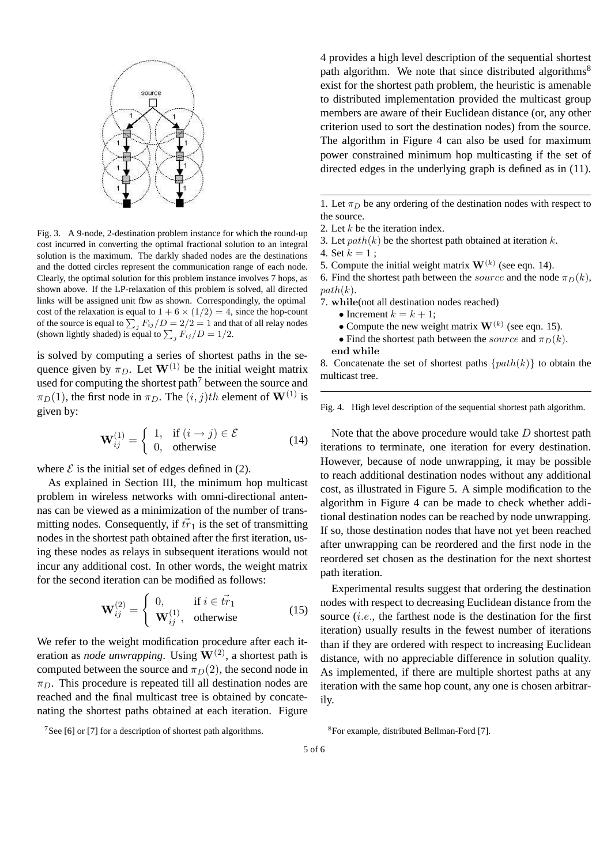

Fig. 3. A 9-node, 2-destination problem instance for which the round-up cost incurred in converting the optimal fractional solution to an integral solution is the maximum. The darkly shaded nodes are the destinations and the dotted circles represent the communication range of each node. Clearly, the optimal solution for this problem instance involves 7 hops, as shown above. If the LP-relaxation of this problem is solved, all directed links will be assigned unit fbw as shown. Correspondingly, the optimal cost of the relaxation is equal to  $1 + 6 \times (1/2) = 4$ , since the hop-count of the source is equal to  $\sum_j F_{ij}/D = 2/2 = 1$  and that of all relay nodes (shown lightly shaded) is equal to  $\sum_j F_{ij}/D = 1/2$ .

is solved by computing a series of shortest paths in the sequence given by  $\pi_D$ . Let  $\mathbf{W}^{(1)}$  be the initial weight matrix used for computing the shortest path<sup>7</sup> between the source and  $\pi_D(1)$ , the first node in  $\pi_D$ . The  $(i, j)$ th element of  $\mathbf{W}^{(1)}$  is given by:

$$
\mathbf{W}_{ij}^{(1)} = \begin{cases} 1, & \text{if } (i \to j) \in \mathcal{E} \\ 0, & \text{otherwise} \end{cases}
$$
(14)

where  $\mathcal E$  is the initial set of edges defined in (2).

As explained in Section III, the minimum hop multicast problem in wireless networks with omni-directional antennas can be viewed as a minimization of the number of transmitting nodes. Consequently, if  $\overline{tr}_1$  is the set of transmitting nodes in the shortest path obtained after the first iteration, using these nodes as relays in subsequent iterations would not incur any additional cost. In other words, the weight matrix for the second iteration can be modified as follows:

$$
\mathbf{W}_{ij}^{(2)} = \begin{cases} 0, & \text{if } i \in \vec{tr}_1 \\ \mathbf{W}_{ij}^{(1)}, & \text{otherwise} \end{cases}
$$
(15)

We refer to the weight modification procedure after each iteration as *node unwrapping*. Using  $W^{(2)}$ , a shortest path is computed between the source and  $\pi_D(2)$ , the second node in  $\pi_D$ . This procedure is repeated till all destination nodes are reached and the final multicast tree is obtained by concatenating the shortest paths obtained at each iteration. Figure

<sup>7</sup>See [6] or [7] for a description of shortest path algorithms.

4 provides a high level description of the sequential shortest path algorithm. We note that since distributed algorithms<sup>8</sup> exist for the shortest path problem, the heuristic is amenable to distributed implementation provided the multicast group members are aware of their Euclidean distance (or, any other criterion used to sort the destination nodes) from the source. The algorithm in Figure 4 can also be used for maximum power constrained minimum hop multicasting if the set of directed edges in the underlying graph is defined as in (11).

1. Let  $\pi_D$  be any ordering of the destination nodes with respect to the source.

3. Let  $path(k)$  be the shortest path obtained at iteration k.

5. Compute the initial weight matrix  $W^{(k)}$  (see eqn. 14).

6. Find the shortest path between the *source* and the node  $\pi_D(k)$ ,  $path(k)$ .

- 7. while(not all destination nodes reached)
	- Increment  $k = k + 1$ ;
	- Compute the new weight matrix  $W^{(k)}$  (see eqn. 15).
	- Find the shortest path between the *source* and  $\pi_D(k)$ .

end while

8. Concatenate the set of shortest paths  $\{path(k)\}\$ to obtain the multicast tree.

Fig. 4. High level description of the sequential shortest path algorithm.

Note that the above procedure would take D shortest path iterations to terminate, one iteration for every destination. However, because of node unwrapping, it may be possible to reach additional destination nodes without any additional cost, as illustrated in Figure 5. A simple modification to the algorithm in Figure 4 can be made to check whether additional destination nodes can be reached by node unwrapping. If so, those destination nodes that have not yet been reached after unwrapping can be reordered and the first node in the reordered set chosen as the destination for the next shortest path iteration.

Experimental results suggest that ordering the destination nodes with respect to decreasing Euclidean distance from the source  $(i.e.,$  the farthest node is the destination for the first iteration) usually results in the fewest number of iterations than if they are ordered with respect to increasing Euclidean distance, with no appreciable difference in solution quality. As implemented, if there are multiple shortest paths at any iteration with the same hop count, any one is chosen arbitrarily.

<sup>8</sup> For example, distributed Bellman-Ford [7].

5 of 6

<sup>2.</sup> Let k be the iteration index.

<sup>4.</sup> Set  $k = 1$ ;